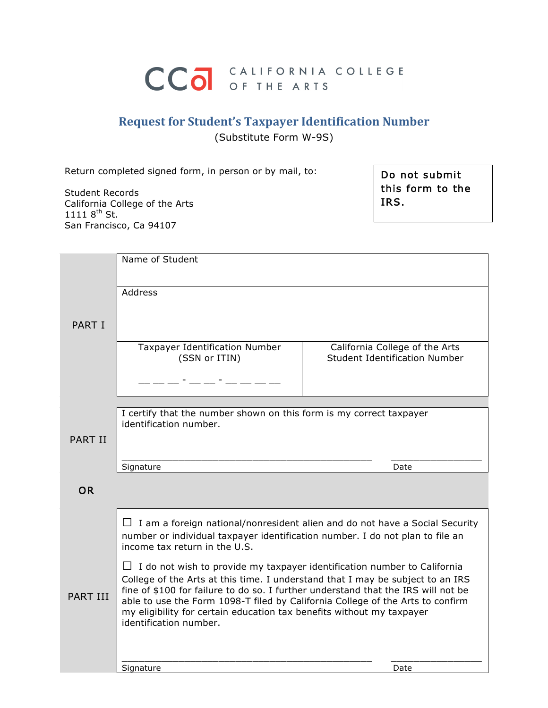# CCO OF THE ARTS

# **Request for Student's Taxpayer Identification Number** (Substitute Form W-9S)

Return completed signed form, in person or by mail, to:

Student Records California College of the Arts 1111  $8^{th}$  St. San Francisco, Ca 94107

Do not submit this form to the IRS.

|                 | Name of Student                                                                                                                                                     |                                                                        |
|-----------------|---------------------------------------------------------------------------------------------------------------------------------------------------------------------|------------------------------------------------------------------------|
|                 |                                                                                                                                                                     |                                                                        |
|                 | Address                                                                                                                                                             |                                                                        |
|                 |                                                                                                                                                                     |                                                                        |
| <b>PART I</b>   |                                                                                                                                                                     |                                                                        |
|                 |                                                                                                                                                                     |                                                                        |
|                 | Taxpayer Identification Number<br>(SSN or ITIN)                                                                                                                     | California College of the Arts<br><b>Student Identification Number</b> |
|                 |                                                                                                                                                                     |                                                                        |
|                 |                                                                                                                                                                     |                                                                        |
|                 |                                                                                                                                                                     |                                                                        |
|                 | I certify that the number shown on this form is my correct taxpayer                                                                                                 |                                                                        |
|                 | identification number.                                                                                                                                              |                                                                        |
| <b>PART II</b>  |                                                                                                                                                                     |                                                                        |
|                 |                                                                                                                                                                     |                                                                        |
|                 | Signature                                                                                                                                                           | Date                                                                   |
|                 |                                                                                                                                                                     |                                                                        |
| <b>OR</b>       |                                                                                                                                                                     |                                                                        |
|                 |                                                                                                                                                                     |                                                                        |
|                 |                                                                                                                                                                     |                                                                        |
|                 | $\Box$ I am a foreign national/nonresident alien and do not have a Social Security<br>number or individual taxpayer identification number. I do not plan to file an |                                                                        |
|                 | income tax return in the U.S.                                                                                                                                       |                                                                        |
|                 | $\Box$ I do not wish to provide my taxpayer identification number to California                                                                                     |                                                                        |
|                 | College of the Arts at this time. I understand that I may be subject to an IRS                                                                                      |                                                                        |
| <b>PART III</b> | fine of \$100 for failure to do so. I further understand that the IRS will not be                                                                                   |                                                                        |
|                 | able to use the Form 1098-T filed by California College of the Arts to confirm<br>my eligibility for certain education tax benefits without my taxpayer             |                                                                        |
|                 | identification number.                                                                                                                                              |                                                                        |
|                 |                                                                                                                                                                     |                                                                        |
|                 |                                                                                                                                                                     |                                                                        |